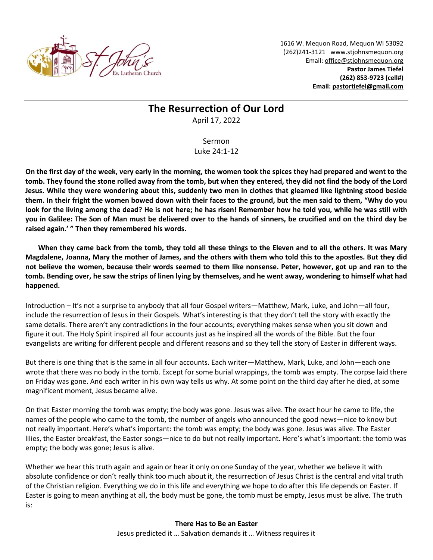

1616 W. Mequon Road, Mequon WI 53092 (262)241-3121 [www.stjohnsmequon.org](http://www.stjohnsmequon.org/) Email[: office@stjohnsmequon.org](mailto:office@stjohnsmequon.org) **Pastor James Tiefel (262) 853-9723 (cell#) Email: [pastortiefel@gmail.com](mailto:pastortiefel@gmail.com)**

## **The Resurrection of Our Lord**

April 17, 2022

Sermon Luke 24:1-12

**On the first day of the week, very early in the morning, the women took the spices they had prepared and went to the tomb. They found the stone rolled away from the tomb, but when they entered, they did not find the body of the Lord Jesus. While they were wondering about this, suddenly two men in clothes that gleamed like lightning stood beside them. In their fright the women bowed down with their faces to the ground, but the men said to them, "Why do you look for the living among the dead? He is not here; he has risen! Remember how he told you, while he was still with you in Galilee: The Son of Man must be delivered over to the hands of sinners, be crucified and on the third day be raised again.' " Then they remembered his words.** 

**When they came back from the tomb, they told all these things to the Eleven and to all the others. It was Mary Magdalene, Joanna, Mary the mother of James, and the others with them who told this to the apostles. But they did not believe the women, because their words seemed to them like nonsense. Peter, however, got up and ran to the tomb. Bending over, he saw the strips of linen lying by themselves, and he went away, wondering to himself what had happened.**

Introduction – It's not a surprise to anybody that all four Gospel writers—Matthew, Mark, Luke, and John—all four, include the resurrection of Jesus in their Gospels. What's interesting is that they don't tell the story with exactly the same details. There aren't any contradictions in the four accounts; everything makes sense when you sit down and figure it out. The Holy Spirit inspired all four accounts just as he inspired all the words of the Bible. But the four evangelists are writing for different people and different reasons and so they tell the story of Easter in different ways.

But there is one thing that is the same in all four accounts. Each writer—Matthew, Mark, Luke, and John—each one wrote that there was no body in the tomb. Except for some burial wrappings, the tomb was empty. The corpse laid there on Friday was gone. And each writer in his own way tells us why. At some point on the third day after he died, at some magnificent moment, Jesus became alive.

On that Easter morning the tomb was empty; the body was gone. Jesus was alive. The exact hour he came to life, the names of the people who came to the tomb, the number of angels who announced the good news—nice to know but not really important. Here's what's important: the tomb was empty; the body was gone. Jesus was alive. The Easter lilies, the Easter breakfast, the Easter songs—nice to do but not really important. Here's what's important: the tomb was empty; the body was gone; Jesus is alive.

Whether we hear this truth again and again or hear it only on one Sunday of the year, whether we believe it with absolute confidence or don't really think too much about it, the resurrection of Jesus Christ is the central and vital truth of the Christian religion. Everything we do in this life and everything we hope to do after this life depends on Easter. If Easter is going to mean anything at all, the body must be gone, the tomb must be empty, Jesus must be alive. The truth is: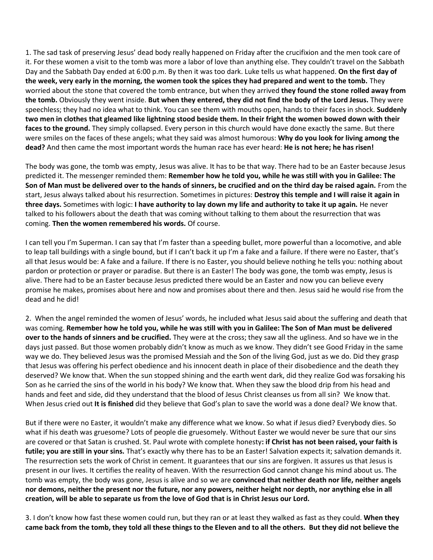1. The sad task of preserving Jesus' dead body really happened on Friday after the crucifixion and the men took care of it. For these women a visit to the tomb was more a labor of love than anything else. They couldn't travel on the Sabbath Day and the Sabbath Day ended at 6:00 p.m. By then it was too dark. Luke tells us what happened. **On the first day of the week, very early in the morning, the women took the spices they had prepared and went to the tomb.** They worried about the stone that covered the tomb entrance, but when they arrived **they found the stone rolled away from the tomb.** Obviously they went inside. **But when they entered, they did not find the body of the Lord Jesus.** They were speechless; they had no idea what to think. You can see them with mouths open, hands to their faces in shock. **Suddenly two men in clothes that gleamed like lightning stood beside them. In their fright the women bowed down with their faces to the ground.** They simply collapsed. Every person in this church would have done exactly the same. But there were smiles on the faces of these angels; what they said was almost humorous: **Why do you look for living among the dead?** And then came the most important words the human race has ever heard: **He is not here; he has risen!** 

The body was gone, the tomb was empty, Jesus was alive. It has to be that way. There had to be an Easter because Jesus predicted it. The messenger reminded them: **Remember how he told you, while he was still with you in Galilee: The Son of Man must be delivered over to the hands of sinners, be crucified and on the third day be raised again.** From the start, Jesus always talked about his resurrection. Sometimes in pictures: **Destroy this temple and I will raise it again in three days.** Sometimes with logic: **I have authority to lay down my life and authority to take it up again.** He never talked to his followers about the death that was coming without talking to them about the resurrection that was coming. **Then the women remembered his words.** Of course.

I can tell you I'm Superman. I can say that I'm faster than a speeding bullet, more powerful than a locomotive, and able to leap tall buildings with a single bound, but if I can't back it up I'm a fake and a failure. If there were no Easter, that's all that Jesus would be: A fake and a failure. If there is no Easter, you should believe nothing he tells you: nothing about pardon or protection or prayer or paradise. But there is an Easter! The body was gone, the tomb was empty, Jesus is alive. There had to be an Easter because Jesus predicted there would be an Easter and now you can believe every promise he makes, promises about here and now and promises about there and then. Jesus said he would rise from the dead and he did!

2. When the angel reminded the women of Jesus' words, he included what Jesus said about the suffering and death that was coming. **Remember how he told you, while he was still with you in Galilee: The Son of Man must be delivered over to the hands of sinners and be crucified.** They were at the cross; they saw all the ugliness. And so have we in the days just passed. But those women probably didn't know as much as we know. They didn't see Good Friday in the same way we do. They believed Jesus was the promised Messiah and the Son of the living God, just as we do. Did they grasp that Jesus was offering his perfect obedience and his innocent death in place of their disobedience and the death they deserved? We know that. When the sun stopped shining and the earth went dark, did they realize God was forsaking his Son as he carried the sins of the world in his body? We know that. When they saw the blood drip from his head and hands and feet and side, did they understand that the blood of Jesus Christ cleanses us from all sin? We know that. When Jesus cried out **It is finished** did they believe that God's plan to save the world was a done deal? We know that.

But if there were no Easter, it wouldn't make any difference what we know. So what if Jesus died? Everybody dies. So what if his death was gruesome? Lots of people die gruesomely. Without Easter we would never be sure that our sins are covered or that Satan is crushed. St. Paul wrote with complete honesty**: if Christ has not been raised, your faith is futile; you are still in your sins.** That's exactly why there has to be an Easter! Salvation expects it; salvation demands it. The resurrection sets the work of Christ in cement. It guarantees that our sins are forgiven. It assures us that Jesus is present in our lives. It certifies the reality of heaven. With the resurrection God cannot change his mind about us. The tomb was empty, the body was gone, Jesus is alive and so we are **convinced that neither death nor life, neither angels nor demons, neither the present nor the future, nor any powers, neither height nor depth, nor anything else in all creation, will be able to separate us from the love of God that is in Christ Jesus our Lord.**

3. I don't know how fast these women could run, but they ran or at least they walked as fast as they could. **When they came back from the tomb, they told all these things to the Eleven and to all the others. But they did not believe the**